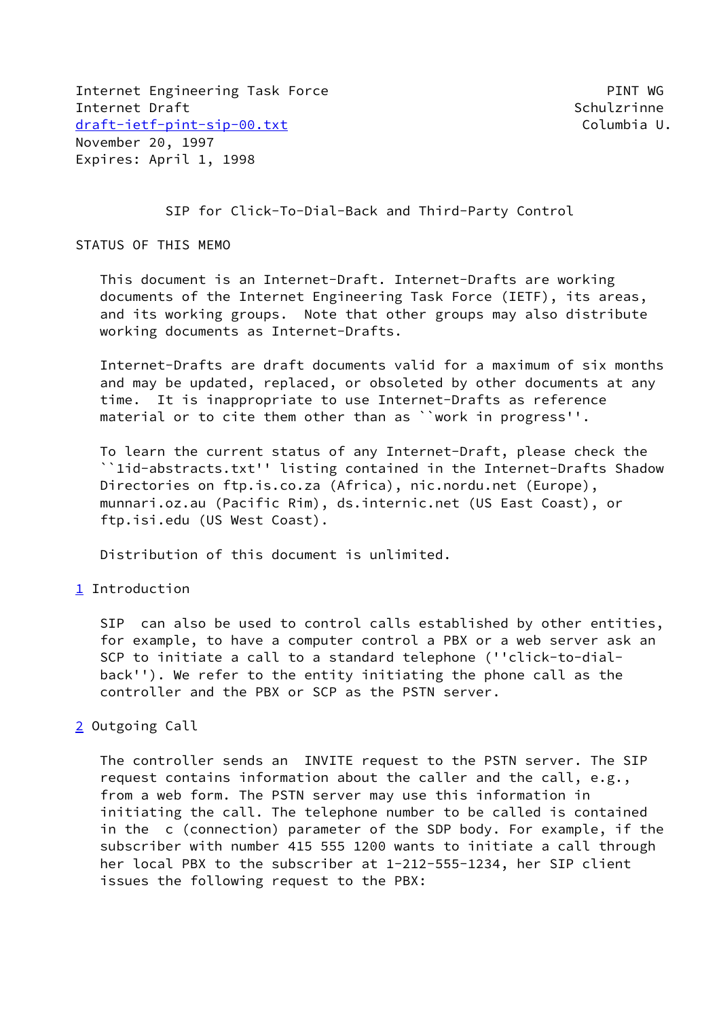Internet Engineering Task Force **PINT WG** Internet Draft Schulzrinne [draft-ietf-pint-sip-00.txt](https://datatracker.ietf.org/doc/pdf/draft-ietf-pint-sip-00.txt) Columbia U. November 20, 1997 Expires: April 1, 1998

SIP for Click-To-Dial-Back and Third-Party Control

## STATUS OF THIS MEMO

 This document is an Internet-Draft. Internet-Drafts are working documents of the Internet Engineering Task Force (IETF), its areas, and its working groups. Note that other groups may also distribute working documents as Internet-Drafts.

 Internet-Drafts are draft documents valid for a maximum of six months and may be updated, replaced, or obsoleted by other documents at any time. It is inappropriate to use Internet-Drafts as reference material or to cite them other than as ``work in progress''.

 To learn the current status of any Internet-Draft, please check the ``1id-abstracts.txt'' listing contained in the Internet-Drafts Shadow Directories on ftp.is.co.za (Africa), nic.nordu.net (Europe), munnari.oz.au (Pacific Rim), ds.internic.net (US East Coast), or ftp.isi.edu (US West Coast).

Distribution of this document is unlimited.

## <span id="page-0-0"></span>[1](#page-0-0) Introduction

 SIP can also be used to control calls established by other entities, for example, to have a computer control a PBX or a web server ask an SCP to initiate a call to a standard telephone (''click-to-dial back''). We refer to the entity initiating the phone call as the controller and the PBX or SCP as the PSTN server.

## <span id="page-0-1"></span>[2](#page-0-1) Outgoing Call

 The controller sends an INVITE request to the PSTN server. The SIP request contains information about the caller and the call, e.g., from a web form. The PSTN server may use this information in initiating the call. The telephone number to be called is contained in the c (connection) parameter of the SDP body. For example, if the subscriber with number 415 555 1200 wants to initiate a call through her local PBX to the subscriber at 1-212-555-1234, her SIP client issues the following request to the PBX: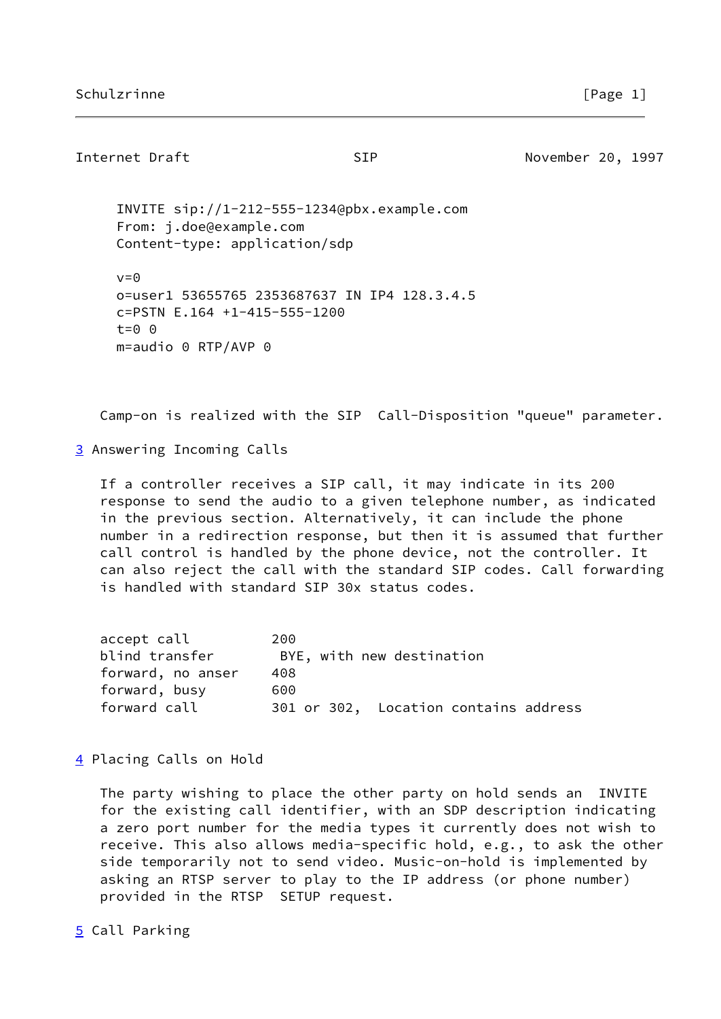## Internet Draft **SIP** SIP November 20, 1997

 INVITE sip://1-212-555-1234@pbx.example.com From: j.doe@example.com Content-type: application/sdp  $v=0$ 

 o=user1 53655765 2353687637 IN IP4 128.3.4.5 c=PSTN E.164 +1-415-555-1200 t=0 0 m=audio 0 RTP/AVP 0

Camp-on is realized with the SIP Call-Disposition "queue" parameter.

<span id="page-1-0"></span>[3](#page-1-0) Answering Incoming Calls

 If a controller receives a SIP call, it may indicate in its 200 response to send the audio to a given telephone number, as indicated in the previous section. Alternatively, it can include the phone number in a redirection response, but then it is assumed that further call control is handled by the phone device, not the controller. It can also reject the call with the standard SIP codes. Call forwarding is handled with standard SIP 30x status codes.

| accept call       | 200 |  |                           |                                       |  |
|-------------------|-----|--|---------------------------|---------------------------------------|--|
| blind transfer    |     |  | BYE, with new destination |                                       |  |
| forward, no anser | 408 |  |                           |                                       |  |
| forward, busy     | 600 |  |                           |                                       |  |
| forward call      |     |  |                           | 301 or 302, Location contains address |  |

<span id="page-1-1"></span>[4](#page-1-1) Placing Calls on Hold

 The party wishing to place the other party on hold sends an INVITE for the existing call identifier, with an SDP description indicating a zero port number for the media types it currently does not wish to receive. This also allows media-specific hold, e.g., to ask the other side temporarily not to send video. Music-on-hold is implemented by asking an RTSP server to play to the IP address (or phone number) provided in the RTSP SETUP request.

<span id="page-1-2"></span>[5](#page-1-2) Call Parking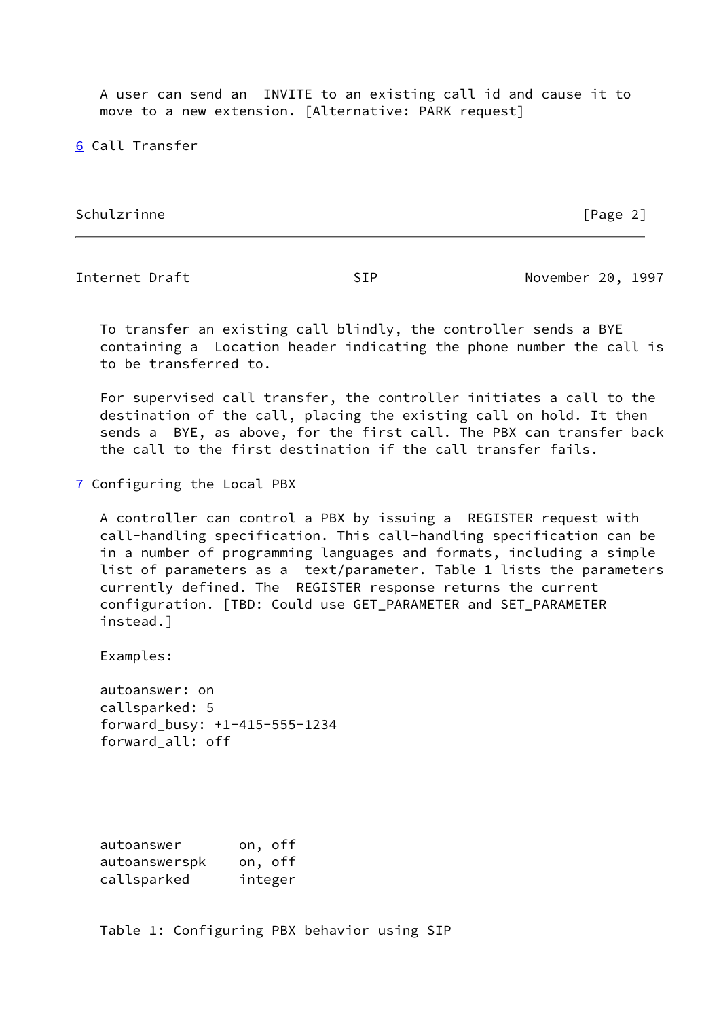A user can send an INVITE to an existing call id and cause it to move to a new extension. [Alternative: PARK request]

<span id="page-2-0"></span>[6](#page-2-0) Call Transfer

Schulzrinne [Page 2]

Internet Draft November 20, 1997

 To transfer an existing call blindly, the controller sends a BYE containing a Location header indicating the phone number the call is to be transferred to.

 For supervised call transfer, the controller initiates a call to the destination of the call, placing the existing call on hold. It then sends a BYE, as above, for the first call. The PBX can transfer back the call to the first destination if the call transfer fails.

<span id="page-2-1"></span>[7](#page-2-1) Configuring the Local PBX

 A controller can control a PBX by issuing a REGISTER request with call-handling specification. This call-handling specification can be in a number of programming languages and formats, including a simple list of parameters as a text/parameter. Table 1 lists the parameters currently defined. The REGISTER response returns the current configuration. [TBD: Could use GET\_PARAMETER and SET\_PARAMETER instead.]

Examples:

 autoanswer: on callsparked: 5 forward\_busy: +1-415-555-1234 forward\_all: off

 autoanswer on, off autoanswerspk on, off callsparked integer

Table 1: Configuring PBX behavior using SIP